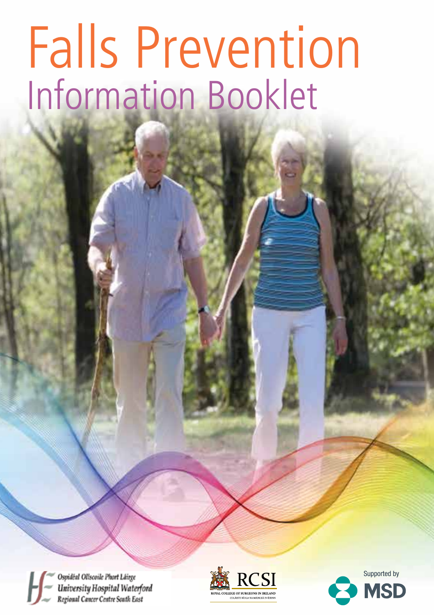# Falls Prevention<br>Information Booklet

Ospidéal Ollscoile Phort Láirge University Hospital Waterford Regional Cancer Centre South East



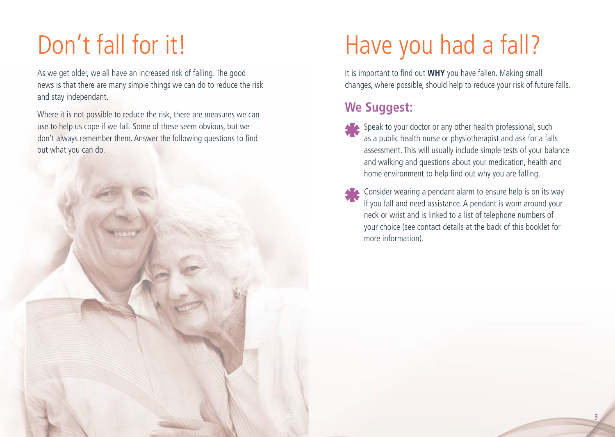## Don't fall for it!

As we get older, we all have an increased risk of falling. The good news is that there are many simple things we can do to reduce the risk and stay independant.

Where it is not possible to reduce the risk, there are measures we can use to help us cope if we fall. Some of these seem obvious, but we don't always remember them. Answer the following questions to find out what you can do.



### Have you had a fall?

It is important to find out **WHY** you have fallen. Making small changes, where possible, should help to reduce your risk of future falls.

### **We Suggest:**

- Speak to your doctor or any other health professional, such as a public health nurse or physiotherapist and ask for a falls assessment. This will usually include simple tests of your balance and walking and questions about your medication, health and home environment to help find out why you are falling.
- Consider wearing a pendant alarm to ensure help is on its way if you fall and need assistance. A pendant is worn around your neck or wrist and is linked to a list of telephone numbers of your choice (see contact details at the back of this booklet for more information).

3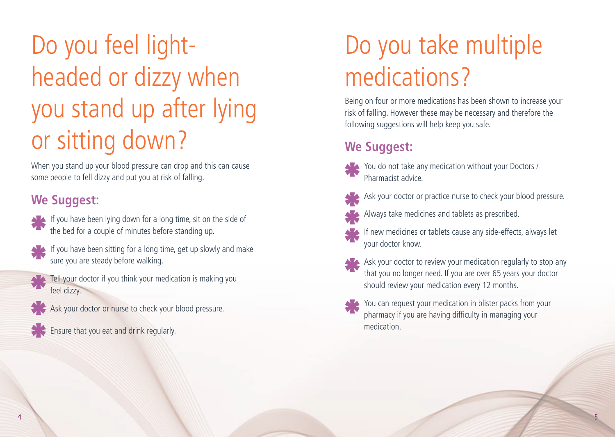# Do you feel lightheaded or dizzy when you stand up after lying or sitting down?

When you stand up your blood pressure can drop and this can cause some people to fell dizzy and put you at risk of falling.

### **We Suggest:**

- If you have been lying down for a long time, sit on the side of the bed for a couple of minutes before standing up.
- 
- If you have been sitting for a long time, get up slowly and make sure you are steady before walking.
- Tell your doctor if you think your medication is making you feel dizzy.
	- Ask your doctor or nurse to check your blood pressure.
- Ensure that you eat and drink regularly.

# Do you take multiple medications?

Being on four or more medications has been shown to increase your risk of falling. However these may be necessary and therefore the following suggestions will help keep you safe.

### **We Suggest:**



You do not take any medication without your Doctors / Pharmacist advice.



- Ask your doctor or practice nurse to check your blood pressure.
- Always take medicines and tablets as prescribed.
- If new medicines or tablets cause any side-effects, always let your doctor know.
- Ask your doctor to review your medication regularly to stop any that you no longer need. If you are over 65 years your doctor should review your medication every 12 months.
- You can request your medication in blister packs from your pharmacy if you are having difficulty in managing your medication.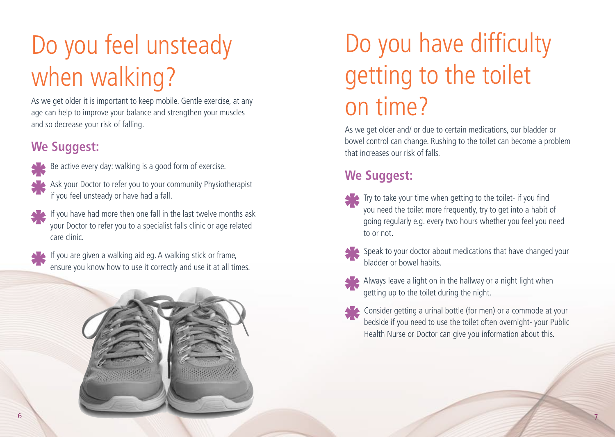# Do you feel unsteady when walking?

As we get older it is important to keep mobile. Gentle exercise, at any age can help to improve your balance and strengthen your muscles and so decrease your risk of falling.

### **We Suggest:**



Be active every day: walking is a good form of exercise.

- Ask your Doctor to refer you to your community Physiotherapist if you feel unsteady or have had a fall.
- If you have had more then one fall in the last twelve months ask your Doctor to refer you to a specialist falls clinic or age related care clinic.



If you are given a walking aid eg. A walking stick or frame, ensure you know how to use it correctly and use it at all times.



# Do you have difficulty getting to the toilet on time?

As we get older and/ or due to certain medications, our bladder or bowel control can change. Rushing to the toilet can become a problem that increases our risk of falls.

### **We Suggest:**

 Try to take your time when getting to the toilet- if you find you need the toilet more frequently, try to get into a habit of going regularly e.g. every two hours whether you feel you need to or not.



- Speak to your doctor about medications that have changed your bladder or bowel habits.
- Always leave a light on in the hallway or a night light when getting up to the toilet during the night.
- Consider getting a urinal bottle (for men) or a commode at your bedside if you need to use the toilet often overnight- your Public Health Nurse or Doctor can give you information about this.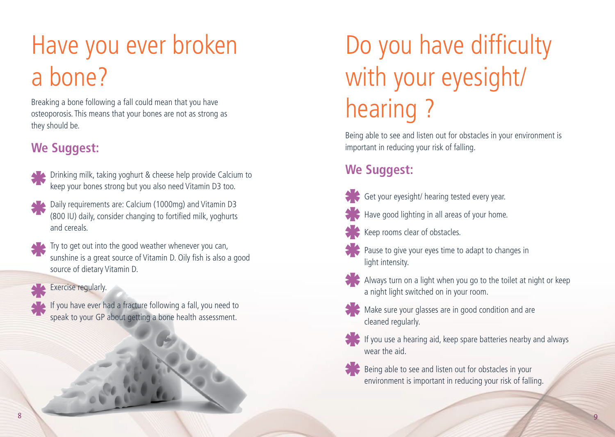## Have you ever broken a bone?

Breaking a bone following a fall could mean that you have osteoporosis. This means that your bones are not as strong as they should be.

### **We Suggest:**



- Drinking milk, taking yoghurt & cheese help provide Calcium to keep your bones strong but you also need Vitamin D3 too.
- Daily requirements are: Calcium (1000mg) and Vitamin D3 (800 IU) daily, consider changing to fortified milk, yoghurts and cereals.



Try to get out into the good weather whenever you can, sunshine is a great source of Vitamin D. Oily fish is also a good source of dietary Vitamin D.

#### Exercise regularly.

If you have ever had a fracture following a fall, you need to speak to your GP about getting a bone health assessment.

# Do you have difficulty with your eyesight/ hearing ?

Being able to see and listen out for obstacles in your environment is important in reducing your risk of falling.

### **We Suggest:**



- Get your eyesight/ hearing tested every year.
- 
- Have good lighting in all areas of your home.
- Keep rooms clear of obstacles.



 $\blacktriangleright$  Pause to give your eyes time to adapt to changes in light intensity.



Always turn on a light when you go to the toilet at night or keep a night light switched on in your room.



Make sure your glasses are in good condition and are cleaned regularly.



If you use a hearing aid, keep spare batteries nearby and always wear the aid.



Being able to see and listen out for obstacles in your environment is important in reducing your risk of falling.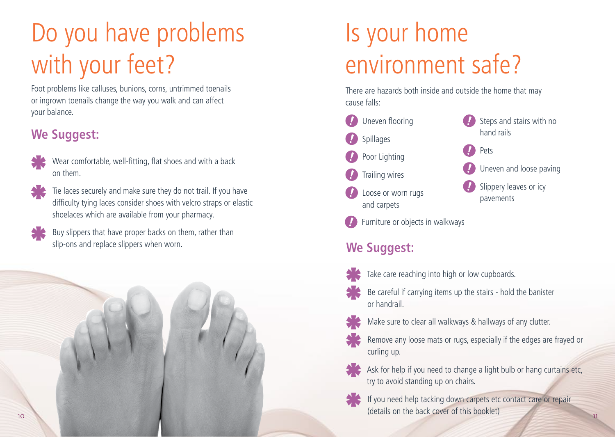# Do you have problems with your feet?

Foot problems like calluses, bunions, corns, untrimmed toenails or ingrown toenails change the way you walk and can affect your balance.

### **We Suggest:**



Wear comfortable, well-fitting, flat shoes and with a back on them.



Tie laces securely and make sure they do not trail. If you have difficulty tying laces consider shoes with velcro straps or elastic shoelaces which are available from your pharmacy.

Buy slippers that have proper backs on them, rather than slip-ons and replace slippers when worn.



# Is your home environment safe?

There are hazards both inside and outside the home that may cause falls:



### **We Suggest:**



- Take care reaching into high or low cupboards.
- Be careful if carrying items up the stairs hold the banister or handrail.
- - Make sure to clear all walkways & hallways of any clutter.
- 
- Remove any loose mats or rugs, especially if the edges are frayed or curling up.



 Ask for help if you need to change a light bulb or hang curtains etc, try to avoid standing up on chairs.



 If you need help tacking down carpets etc contact care or repair (details on the back cover of this booklet)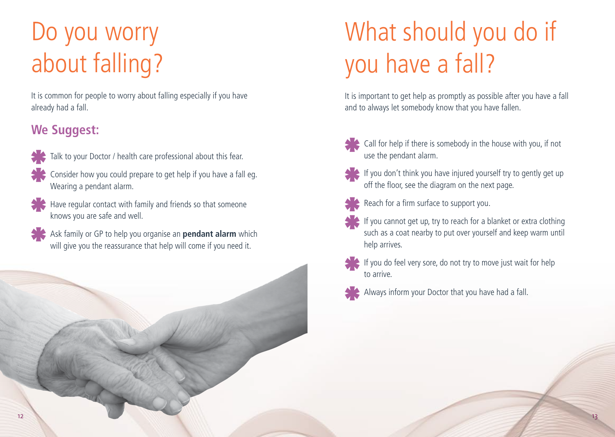### Do you worry about falling?

It is common for people to worry about falling especially if you have already had a fall.

### **We Suggest:**



- Talk to your Doctor / health care professional about this fear.
- Consider how you could prepare to get help if you have a fall eg. Wearing a pendant alarm.



- Have regular contact with family and friends so that someone knows you are safe and well.
- Ask family or GP to help you organise an **pendant alarm** which will give you the reassurance that help will come if you need it.



# What should you do if you have a fall?

It is important to get help as promptly as possible after you have a fall and to always let somebody know that you have fallen.



Call for help if there is somebody in the house with you, if not use the pendant alarm.



If you don't think you have injured yourself try to gently get up off the floor, see the diagram on the next page.



- Reach for a firm surface to support you.
- If you cannot get up, try to reach for a blanket or extra clothing such as a coat nearby to put over yourself and keep warm until help arrives.
- to arrive.
- If you do feel very sore, do not try to move just wait for help
- Always inform your Doctor that you have had a fall.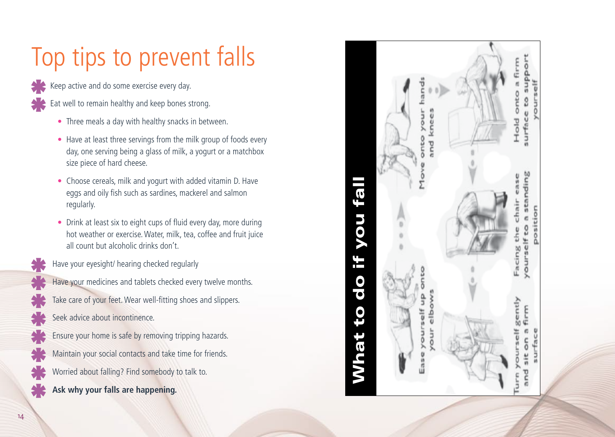# Top tips to prevent falls

Keep active and do some exercise every day.

- Eat well to remain healthy and keep bones strong.
	- Three meals a day with healthy snacks in between.
	- Have at least three servings from the milk group of foods every day, one serving being a glass of milk, a yogurt or a matchbox size piece of hard cheese.
	- Choose cereals, milk and yogurt with added vitamin D. Have eggs and oily fish such as sardines, mackerel and salmon regularly.
	- Drink at least six to eight cups of fluid every day, more during hot weather or exercise. Water, milk, tea, coffee and fruit juice all count but alcoholic drinks don't.
	- Have your eyesight/ hearing checked regularly
- Have your medicines and tablets checked every twelve months.
- Take care of your feet. Wear well-fitting shoes and slippers.
- Seek advice about incontinence.
- Ensure your home is safe by removing tripping hazards.
- Maintain your social contacts and take time for friends.
- Worried about falling? Find somebody to talk to.
- **Ask why your falls are happening.**